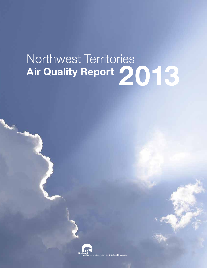# Northwest Territories NONINVEST TENTIONS<br>Air Quality Report 2013



ries Environment and Natural Resources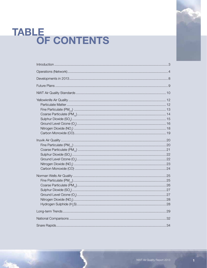# TABLE<br>OF CONTENTS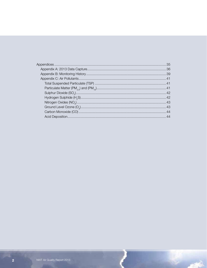بيس

**PTAGE**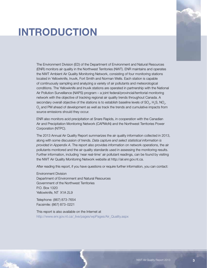# INTRODUCTION



The Environment Division (ED) of the Department of Environment and Natural Resources (ENR) monitors air quality in the Northwest Territories (NWT). ENR maintains and operates the NWT Ambient Air Quality Monitoring Network, consisting of four monitoring stations located in Yellowknife, Inuvik, Fort Smith and Norman Wells. Each station is capable of continuously sampling and analyzing a variety of air pollutants and meteorological conditions. The Yellowknife and Inuvik stations are operated in partnership with the National Air Pollution Surveillance (NAPS) program – a joint federal/provincial/territorial monitoring network with the objective of tracking regional air quality trends throughout Canada. A secondary overall objective of the stations is to establish baseline levels of SO<sub>2</sub>, H<sub>2</sub>S, NO<sub>x</sub>,  $\mathsf{O}_{\!_3}$  and PM ahead of development as well as track the trends and cumulative impacts from source emissions should they occur.

ENR also monitors acid precipitation at Snare Rapids, in cooperation with the Canadian Air and Precipitation Monitoring Network (CAPMoN) and the Northwest Territories Power Corporation (NTPC).

The 2013 Annual Air Quality Report summarizes the air quality information collected in 2013, along with some discussion of trends. *Data capture and select statistical information is provided in Appendix A*. The report also provides information on network operations, the air pollutants monitored and the air quality standards used in assessing the monitoring results. Further information, including 'near real-time' air pollutant readings, can be found by visiting the NWT Air Quality Monitoring Network website at http://air.enr.gov.nt.ca.

After reading this report, if you have questions or require further information, you can contact:

Environment Division

Department of Environment and Natural Resources Government of the Northwest Territories P.O. Box 1320 Yellowknife, NT X1A 2L9

Telephone: (867) 873-7654 Facsimile: (867) 873-0221

This report is also available on the Internet at http://www.enr.gov.nt.ca/\_live/pages/wpPages/Air\_Quality.aspx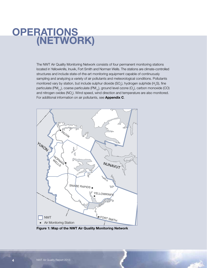## **OPERATIONS** (NETWORK)

The NWT Air Quality Monitoring Network consists of four permanent monitoring stations located in Yellowknife, Inuvik, Fort Smith and Norman Wells. The stations are climate-controlled structures and include state-of-the-art monitoring equipment capable of continuously sampling and analyzing a variety of air pollutants and meteorological conditions. Pollutants monitored vary by station, but include sulphur dioxide (SO<sub>2</sub>), hydrogen sulphide (H<sub>2</sub>S), fine particulate (PM<sub>2.5</sub>), coarse particulate (PM<sub>10</sub>), ground level ozone (O<sub>3</sub>), carbon monoxide (CO) and nitrogen oxides (NO $_{\!\scriptscriptstyle \geqslant}$ ). Wind speed, wind direction and temperature are also monitored. For additional information on air pollutants, see **Appendix C**.



Figure 1: Map of the NWT Air Quality Monitoring Network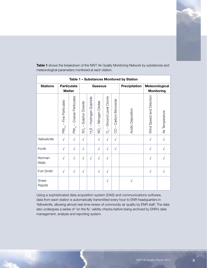

| Table 1 - Substances Monitored by Station |                                  |                                                   |                                                     |                                                   |                                                       |                                                 |                                        |                   |                          |                                     |  |  |
|-------------------------------------------|----------------------------------|---------------------------------------------------|-----------------------------------------------------|---------------------------------------------------|-------------------------------------------------------|-------------------------------------------------|----------------------------------------|-------------------|--------------------------|-------------------------------------|--|--|
| <b>Stations</b>                           |                                  | <b>Particulate</b><br><b>Matter</b>               |                                                     |                                                   | <b>Gaseous</b>                                        |                                                 |                                        | Precipitation     |                          | Meteorological<br><b>Monitoring</b> |  |  |
|                                           | Fine Particulate<br>$PM_{2.5}$ . | Coarse Particulate<br>$\mathbf{I}$<br>$PM_{10}$ . | Sulphur Dioxide<br>$\mathbf{L}$<br>$\sim$<br>တ<br>လ | Hydrogen Sulphide<br>$\mathbf{I}$<br>$T_{\infty}$ | Nitrogen Oxides<br>$\overline{1}$<br>$\sum_{i=1}^{n}$ | Ground Level Ozone<br>$\mathbf{I}$<br>$O^{1/2}$ | Carbon Monoxide<br>$\overline{1}$<br>8 | Acidic Deposition | Wind Speed and Direction | Air Temperature                     |  |  |
| Yellowknife                               | $\sqrt{ }$                       | $\sqrt{ }$                                        | $\sqrt{ }$                                          |                                                   | $\sqrt{ }$                                            | $\sqrt{ }$                                      | $\sqrt{}$                              |                   | $\sqrt{ }$               | $\sqrt{}$                           |  |  |
| Inuvik                                    | $\sqrt{ }$                       | $\sqrt{ }$                                        | $\sqrt{ }$                                          |                                                   | $\sqrt{ }$                                            | $\sqrt{}$                                       | $\sqrt{ }$                             |                   | $\sqrt{}$                | $\sqrt{}$                           |  |  |
| Norman<br>Wells                           | $\sqrt{ }$                       | $\sqrt{ }$                                        | $\sqrt{ }$                                          | $\sqrt{}$                                         | $\sqrt{}$                                             | $\sqrt{ }$                                      |                                        |                   | $\sqrt{}$                | $\sqrt{}$                           |  |  |
| Fort Smith                                | $\sqrt{ }$                       | $\sqrt{ }$                                        | $\sqrt{ }$                                          |                                                   | $\sqrt{ }$                                            | $\sqrt{}$                                       |                                        |                   | $\sqrt{}$                | $\sqrt{2}$                          |  |  |
| Snare<br>Rapids                           |                                  |                                                   |                                                     |                                                   |                                                       | $\sqrt{2}$                                      |                                        | $\sqrt{ }$        |                          |                                     |  |  |

Table 1 shows the breakdown of the NWT Air Quality Monitoring Network by substances and meteorological parameters monitored at each station.

Using a sophisticated data acquisition system (DAS) and communications software, data from each station is automatically transmitted every hour to ENR headquarters in Yellowknife, allowing almost real-time review of community air quality by ENR staff. The data also undergoes a series of 'on the fly' validity checks before being archived by ENR's data management, analysis and reporting system.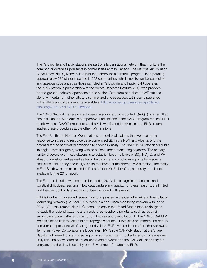The Yellowknife and Inuvik stations are part of a larger national network that monitors the common or criteria air pollutants in communities across Canada. The National Air Pollution Surveillance (NAPS) Network is a joint federal/provincial/territorial program, incorporating approximately 286 stations located in 203 communities, which monitor similar particulate and gaseous substances as those sampled in Yellowknife and Inuvik. ENR operates the Inuvik station in partnership with the Aurora Research Institute (ARI), who provides on-the-ground technical operations to the station. Data from both these NWT stations, along with data from other cities, is summarized and assessed, with results published in the NAPS annual data reports available at http://www.ec.gc.ca/rnspa-naps/default. asp?lang=En&n=77FECF05-1#reports.

The NAPS Network has a stringent quality assurance/quality control (QA/QC) program that ensures Canada-wide data is comparable. Participation in the NAPS program requires ENR to follow these QA/QC procedures at the Yellowknife and Inuvik sites, and ENR, in turn, applies these procedures at the other NWT stations.

The Fort Smith and Norman Wells stations are territorial stations that were set up in response to increasing resource development activity in the NWT and Alberta, and the potential for the associated emissions to affect air quality. The NAPS Inuvik station still fulfills its original territorial goals, along with its national urban monitoring objective. The primary territorial objective of these stations is to establish baseline levels of SO<sub>2</sub>, NO<sub>x</sub>, O<sub>3</sub> and PM ahead of development as well as track the trends and cumulative impacts from source emissions should they occur.  $\rm H_2S$  is also monitored at the Norman Wells station. The station in Fort Smith was commissioned in December of 2013; therefore, air quality data is not available for the 2013 report.

The Fort Liard station was decommissioned in 2013 due to significant technical and logistical difficulties, resulting in low data capture and quality. For these reasons, the limited Fort Liard air quality data set has not been included in this report.

ENR is involved in a second federal monitoring system – the Canadian Air and Precipitation Monitoring Network (CAPMoN). CAPMoN is a non-urban monitoring network with, as of 2010, 33 measurement sites in Canada and one in the United States that are designed to study the regional patterns and trends of atmospheric pollutants such as acid rain, smog, particulate matter and mercury, in both air and precipitation. Unlike NAPS, CAPMoN locates sites to limit the effect of anthropogenic sources. Most sites are remote and data is considered representative of background values. ENR, with assistance from the Northwest Territories Power Corporation staff, operates NWT's sole CAPMoN station at the Snare Rapids hydro-electric site, consisting of an acid precipitation collector and ozone analyzer. Daily rain and snow samples are collected and forwarded to the CAPMoN laboratory for analysis, and the data is used by both Environment Canada and ENR.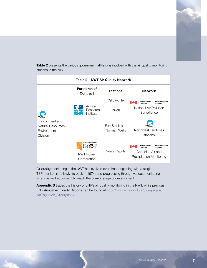Table 2 presents the various government affiliations involved with the air quality monitoring stations in the NWT.

| Table 2 - NWT Air Quality Network                                        |                                                                                  |                                |                                                                                                  |  |  |  |  |  |  |  |  |
|--------------------------------------------------------------------------|----------------------------------------------------------------------------------|--------------------------------|--------------------------------------------------------------------------------------------------|--|--|--|--|--|--|--|--|
| Environment and<br>Natural Resources -<br>Environment<br><b>Division</b> | Partnership/<br><b>Contract</b>                                                  | <b>Stations</b>                | <b>Network</b>                                                                                   |  |  |  |  |  |  |  |  |
|                                                                          |                                                                                  | Yellowknife                    | Environment<br>Environnement                                                                     |  |  |  |  |  |  |  |  |
|                                                                          | Aurora<br>Research<br>Institute                                                  | <b>Inuvik</b>                  | Canada<br>Canada<br>National Air Pollution<br>Surveillance                                       |  |  |  |  |  |  |  |  |
|                                                                          |                                                                                  | Fort Smith and<br>Norman Wells | Northwest Territories<br>stations                                                                |  |  |  |  |  |  |  |  |
|                                                                          | NORTHWEST TERRITORIES<br>POWFR<br>CORPORATION<br><b>NWT Power</b><br>Corporation | Snare Rapids                   | Environment<br>Environnement<br>Canada<br>Canada<br>Canadian Air and<br>Precipitation Monitoring |  |  |  |  |  |  |  |  |

Air quality monitoring in the NWT has evolved over time, beginning with a single TSP monitor in Yellowknife back in 1974, and progressing through various monitoring locations and equipment to reach the current stage of development.

Appendix B traces the history of ENR's air quality monitoring in the NWT, while previous ENR Annual Air Quality Reports can be found at http://www.enr.gov.nt.ca/\_live/pages/ wpPages/Air\_Quality.aspx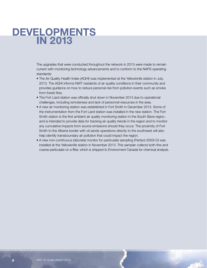### DEVELOPMENTS IN 2013

The upgrades that were conducted throughout the network in 2013 were made to remain current with monitoring technology advancements and to conform to the NAPS operating standards:

- The Air Quality Health Index (AQHI) was implemented at the Yellowknife station in July, 2013. The AQHI informs NWT residents of air quality conditions in their community and provides guidance on how to reduce personal risk from pollution events such as smoke from forest fires.
- The Fort Liard station was officially shut down in November 2013 due to operational challenges, including remoteness and lack of personnel resources in the area.
- A new air monitoring station was established in Fort Smith in December 2013. Some of the instrumentation from the Fort Liard station was installed in the new station. The Fort Smith station is the first ambient air quality monitoring station in the South Slave region, and is intended to provide data for tracking air quality trends in the region and to monitor any cumulative impacts from source emissions should they occur. The proximity of Fort Smith to the Alberta border with oil sands operations directly to the southwest will also help identify transboundary air pollution that could impact the region.
- A new non-continuous (discrete) monitor for particulate sampling (Partisol 2000i-D) was installed at the Yellowknife station in November 2013. This sampler collects both fine and coarse particulate on a filter, which is shipped to Environment Canada for chemical analysis.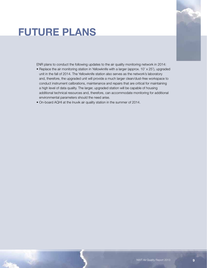# FUTURE PLANS



ENR plans to conduct the following updates to the air quality monitoring network in 2014:

- Replace the air monitoring station in Yellowknife with a larger (approx. 10' x 25'), upgraded unit in the fall of 2014. The Yellowknife station also serves as the network's laboratory and, therefore, the upgraded unit will provide a much larger clean/dust-free workspace to conduct instrument calibrations, maintenance and repairs that are critical for maintaining a high level of data quality. The larger, upgraded station will be capable of housing additional technical resources and, therefore, can accommodate monitoring for additional environmental parameters should the need arise.
- On-board AQHI at the Inuvik air quality station in the summer of 2014.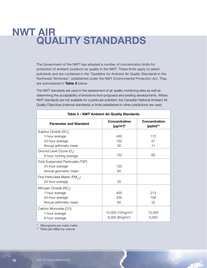# NWT AIR QUALITY STANDARDS

The Government of the NWT has adopted a number of concentration limits for protection of ambient (outdoor) air quality in the NWT. These limits apply to select pollutants and are contained in the "Guideline for Ambient Air Quality Standards in the Northwest Territories", established under the NWT *Environmental Protection Act*. They are summarized in Table 3 below.

The NWT standards are used in the assessment of air quality monitoring data as well as determining the acceptability of emissions from proposed and existing developments. Where NWT standards are not available for a particular pollutant, the Canadian National Ambient Air Quality Objectives (national standards) or limits established in other jurisdictions are used.

| Table 3 - NWT Ambient Air Quality Standards                    |                                  |                                  |  |  |  |  |  |  |  |  |
|----------------------------------------------------------------|----------------------------------|----------------------------------|--|--|--|--|--|--|--|--|
| <b>Parameter and Standard</b>                                  | Concentration<br>$(\mu g/m^3)^*$ | <b>Concentration</b><br>(ppbv)** |  |  |  |  |  |  |  |  |
| Sulphur Dioxide (SO <sub>2</sub> )                             |                                  |                                  |  |  |  |  |  |  |  |  |
| 1-hour average                                                 | 450                              | 172                              |  |  |  |  |  |  |  |  |
| 24-hour average                                                | 150                              | 57                               |  |  |  |  |  |  |  |  |
| Annual arithmetic mean                                         | 30                               | 11                               |  |  |  |  |  |  |  |  |
| Ground Level Ozone $(O_2)$<br>8-hour running average           | 130                              | 65                               |  |  |  |  |  |  |  |  |
| <b>Total Suspended Particulate (TSP)</b>                       |                                  |                                  |  |  |  |  |  |  |  |  |
| 24-hour average                                                | 120                              |                                  |  |  |  |  |  |  |  |  |
| Annual geometric mean                                          | 60                               |                                  |  |  |  |  |  |  |  |  |
| Fine Particulate Matter (PM <sub>25</sub> )<br>24-hour average | 30                               |                                  |  |  |  |  |  |  |  |  |
| Nitrogen Dioxide (NO <sub>2</sub> )                            |                                  |                                  |  |  |  |  |  |  |  |  |
| 1-hour average                                                 | 400                              | 213                              |  |  |  |  |  |  |  |  |
| 24-hour average                                                | 200                              | 106                              |  |  |  |  |  |  |  |  |
| Annual arithmetic mean                                         | 60                               | 32                               |  |  |  |  |  |  |  |  |
| Carbon Monoxide (CO)                                           |                                  |                                  |  |  |  |  |  |  |  |  |
| 1-hour average                                                 | 15,000 (15mg/m <sup>3</sup> )    | 13,000                           |  |  |  |  |  |  |  |  |
| 8-hour average                                                 | 6,000 (6mg/m <sup>3</sup> )      | 5,000                            |  |  |  |  |  |  |  |  |

Micrograms per cubic metre

\*\* Parts per billion by volume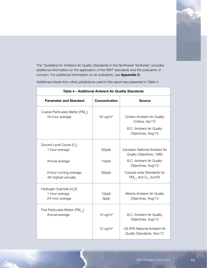

The "Guideline for Ambient Air Quality Standards in the Northwest Territories" provides additional information on the application of the NWT standards and the pollutants of concern. For additional information on air pollutants, see Appendix C.

Additional criteria from other jurisdictions used in this report are presented in Table 4.

|                                                                           | Table 4 - Additional Ambient Air Quality Standards |                                                                                                                 |  |  |  |  |  |  |  |  |  |  |  |
|---------------------------------------------------------------------------|----------------------------------------------------|-----------------------------------------------------------------------------------------------------------------|--|--|--|--|--|--|--|--|--|--|--|
| <b>Parameter and Standard</b>                                             | <b>Concentration</b>                               | <b>Source</b>                                                                                                   |  |  |  |  |  |  |  |  |  |  |  |
| Coarse Particulate Matter (PM <sub>10</sub> )<br>24-hour average          | $50 \text{ ug/m}^3$                                | <b>Ontario Ambient Air Quality</b><br>Criteria, Apr/12<br><b>B.C. Ambient Air Quality</b><br>Objectives, Aug/13 |  |  |  |  |  |  |  |  |  |  |  |
| Ground Level Ozone (O <sub>2</sub> )<br>1-hour average                    | 82ppb                                              | Canadian National Ambient Air<br>Quality Objectives, 1989                                                       |  |  |  |  |  |  |  |  |  |  |  |
| Annual average                                                            | 15ppb                                              | <b>B.C. Ambient Air Quality</b><br>Objectives, Aug/13                                                           |  |  |  |  |  |  |  |  |  |  |  |
| 8-hour running average,<br>4th highest annually                           | 65ppb                                              | Canada-wide Standards for<br>$PM_{2.5}$ and O <sub>3</sub> , Jun/00                                             |  |  |  |  |  |  |  |  |  |  |  |
| Hydrogen Sulphide (H <sub>2</sub> S)<br>1-hour average<br>24-hour average | 10ppb<br>3ppb                                      | Alberta Ambient Air Quality<br>Objectives, Aug/13                                                               |  |  |  |  |  |  |  |  |  |  |  |
| Fine Particulate Matter (PM <sub>25</sub> )<br>Annual average             | 10 $\mu$ g/m <sup>3</sup>                          | <b>B.C. Ambient Air Quality</b><br>Objectives, Aug/13                                                           |  |  |  |  |  |  |  |  |  |  |  |
|                                                                           | 12 ug/ $m3$                                        | <b>US EPA National Ambient Air</b><br>Quality Standards, Dec/12                                                 |  |  |  |  |  |  |  |  |  |  |  |

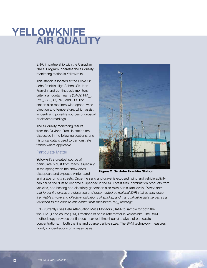# YELLOWKNIFE AIR QUALITY

ENR, in partnership with the Canadian NAPS Program, operates the air quality monitoring station in Yellowknife.

This station is located at the École Sir John Franklin High School (Sir John Franklin) and continuously monitors criteria air contaminants (CACs)  $PM_{2.5}$ ,  $PM_{10}$ , SO<sub>2</sub>, O<sub>3</sub>, NO<sub>x</sub> and CO. The station also monitors wind speed, wind direction and temperature, which assist in identifying possible sources of unusual or elevated readings.

The air quality monitoring results from the Sir John Franklin station are discussed in the following sections, and historical data is used to demonstrate trends where applicable.

#### Particulate Matter

Yellowknife's greatest source of particulate is dust from roads, especially in the spring when the snow cover disappears and exposes winter sand



Figure 2: Sir John Franklin Station

and gravel on city streets. Once the sand and gravel is exposed, wind and vehicle activity can cause the dust to become suspended in the air. Forest fires, combustion products from vehicles, and heating and electricity generation also raise particulate levels. *Please note that forest fire events are observed and documented by regional ENR staff as they occur (i.e. visible smoke and olfactory indications of smoke), and this qualitative data serves as a validation to the conclusions drawn from measured PM<sub>2.5</sub> readings.* 

ENR currently uses Beta Attenuation Mass Monitors (BAM) to sample for both the fine (PM<sub>2,5</sub>) and course (PM<sub>10</sub>) fractions of particulate matter in Yellowknife. The BAM methodology provides continuous, near real-time (hourly) analysis of particulate concentrations, in both the fine and coarse particle sizes. The BAM technology measures hourly concentrations on a mass basis.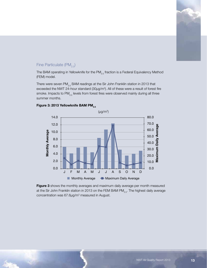

#### Fine Particulate (PM<sub>25</sub>)

The BAM operating in Yellowknife for the  $PM_{2.5}$  fraction is a Federal Equivalency Method (FEM) model.

There were seven PM<sub>2.5</sub> BAM readings at the Sir John Franklin station in 2013 that exceeded the NWT 24-hour standard  $(30\mu g/m<sup>3</sup>)$ . All of these were a result of forest fire smoke. Impacts to  $PM_{2.5}$  levels from forest fires were observed mainly during all three summer months.



#### Figure 3: 2013 Yellowknife BAM PM<sub>2.5</sub>

Figure 3 shows the monthly averages and maximum daily average per month measured at the Sir John Franklin station in 2013 on the FEM BAM PM<sub>2.5</sub>. The highest daily average concentration was 67.6μg/m<sup>3</sup> measured in August.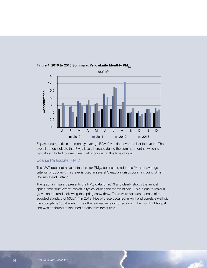

#### Figure 4: 2010 to 2013 Summary: Yellowknife Monthly PM $_{\rm 2.5}$

**Figure 4** summarizes the monthly average BAM PM $_{2.5}$  data over the last four years. The overall trends indicate that  $PM_{2.5}$  levels increase during the summer months, which is typically attributed to forest fires that occur during this time of year.

#### Coarse Particulate (PM<sub>10</sub>)

The NWT does not have a standard for  $PM_{10}$ , but instead adopts a 24-hour average criterion of 50µg/m<sup>3</sup>. This level is used in several Canadian jurisdictions, including British Columbia and Ontario.

The graph in Figure 5 presents the  $PM_{10}$  data for 2013 and clearly shows the annual spring-time "dust event", which is typical during the month of April. This is due to residual gravel on the roads following the spring snow thaw. There were six exceedances of the adopted standard of 50µg/m<sup>3</sup> in 2013. Five of these occurred in April and correlate well with the spring-time "dust event". The other exceedance occurred during the month of August and was attributed to localized smoke from forest fires.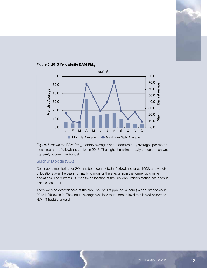

#### Figure 5: 2013 Yellowknife BAM PM $_{10}$



#### Sulphur Dioxide (SO $_{\textrm{\tiny{\it 2}}}$ )

Continuous monitoring for SO<sub>2</sub> has been conducted in Yellowknife since 1992, at a variety of locations over the years, primarily to monitor the effects from the former gold mine operations. The current SO<sub>2</sub> monitoring location at the Sir John Franklin station has been in place since 2004.

There were no exceedances of the NWT hourly (172ppb) or 24-hour (57ppb) standards in 2013 in Yellowknife. The annual average was less than 1ppb, a level that is well below the NWT (11ppb) standard.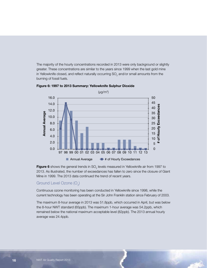The majority of the hourly concentrations recorded in 2013 were only background or slightly greater. These concentrations are similar to the years since 1999 when the last gold mine in Yellowknife closed, and reflect naturally occurring SO<sub>2</sub> and/or small amounts from the burning of fossil fuels.





**Figure 6** shows the general trends in SO<sub>2</sub> levels measured in Yellowknife air from 1997 to 2013. As illustrated, the number of exceedances has fallen to zero since the closure of Giant Mine in 1999. The 2013 data continued the trend of recent years.

#### Ground Level Ozone (O $_{3}$ )

Continuous ozone monitoring has been conducted in Yellowknife since 1998, while the current technology has been operating at the Sir John Franklin station since February of 2003.

The maximum 8-hour average in 2013 was 51.8ppb, which occurred in April, but was below the 8-hour NWT standard (65ppb). The maximum 1-hour average was 54.2ppb, which remained below the national maximum acceptable level (82ppb). The 2013 annual hourly average was 24.4ppb.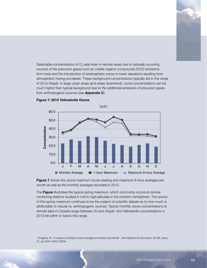Detectable concentrations of  $\mathrm{O}_{\mathrm{3}}$  exist even in remote areas due to naturally occurring sources of the precursor gases such as volatile organic compounds (VOC) emissions from trees and the introduction of stratospheric ozone to lower elevations resulting from atmospheric mixing processes. These background concentrations typically are in the range of 20 to 40ppb. In large urban areas (and areas downwind), ozone concentrations can be much higher than typical background due to the additional emissions of precursor gases from anthropogenic sources (see **Appendix C**).





Figure 7 shows the ozone maximum hourly reading and maximum 8-hour averages per month as well as the monthly averages recorded in 2013.

The Figure illustrates the typical spring maximum, which commonly occurs at remote monitoring stations located in mid to high latitudes in the northern hemisphere. The source of this spring maximum continues to be the subject of scientific debate as to how much is attributable to natural vs. anthropogenic sources. Typical monthly ozone concentrations at remote sites in Canada range between 20 and 45ppb<sup>1</sup> and Yellowknife concentrations in 2013 fell within or below this range.

<sup>1</sup> Vingarza, R. "A review of surface ozone background levels and trends". Atmospheric Environment, Vol 38, Issue 21, pp 3431-3442 (2004).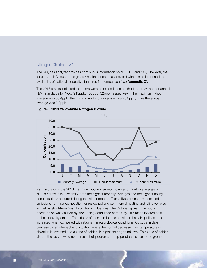#### Nitrogen Dioxide (NO<sub>2</sub>)

The NO<sub>x</sub> gas analyzer provides continuous information on NO, NO<sub>2</sub> and NO<sub>x</sub>. However, the focus is on NO<sub>2</sub> due to the greater health concerns associated with this pollutant and the availability of national air quality standards for comparison (see Appendix C).

The 2013 results indicated that there were no exceedances of the 1-hour, 24-hour or annual NWT standards for NO<sub>2</sub>, (213ppb, 106ppb, 32ppb, respectively). The maximum 1-hour average was 35.4ppb, the maximum 24-hour average was 20.3ppb, while the annual average was 3.2ppb.



#### Figure 8: 2013 Yellowknife Nitrogen Dioxide

Figure 8 shows the 2013 maximum hourly, maximum daily and monthly averages of  $\mathsf{NO}_2$  in Yellowknife. Generally, both the highest monthly averages and the highest hourly concentrations occurred during the winter months. This is likely caused by increased emissions from fuel combustion for residential and commercial heating and idling vehicles as well as short-term "rush hour" traffic influences. The October spike in the hourly oncentration was caused by work being conducted at the City Lift Station located next to the air quality station. The effects of these emissions on winter-time air quality can be increased when combined with stagnant meteorological conditions. Cold, calm days can result in an atmospheric situation where the normal decrease in air temperature with elevation is reversed and a zone of colder air is present at ground level. This zone of colder air and the lack of wind act to restrict dispersion and trap pollutants close to the ground.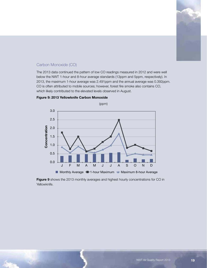

#### Carbon Monoxide (CO)

The 2013 data continued the pattern of low CO readings measured in 2012 and were well below the NWT 1-hour and 8-hour average standards (13ppm and 5ppm, respectively). In 2013, the maximum 1-hour average was 2.491ppm and the annual average was 0.392ppm. CO is often attributed to mobile sources; however, forest fire smoke also contains CO, which likely contributed to the elevated levels observed in August.



Figure 9: 2013 Yellowknife Carbon Monoxide

Figure 9 shows the 2013 monthly averages and highest hourly concentrations for CO in Yellowknife.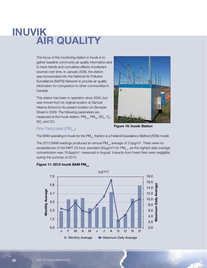# INUVIK AIR QUALITY

The focus of the monitoring station in Inuvik is to gather baseline community air quality information and to track trends and cumulative effects of pollutant sources over time. In January 2006, the station was incorporated into the National Air Pollution Surveillance (NAPS) Network to provide air quality information for comparison to other communities in Canada.

This station has been in operation since 2003, but was moved from its original location at Samuel Hearne School to its present location on Bompas Street in 2009. The following parameters are measured at the Inuvik station:  $\mathsf{PM}_{2.5}$ ,  $\mathsf{PM}_{_{10}}$ , SO<sub>2</sub>, O<sub>3</sub>,  $NO<sub>2</sub>$  and CO.



#### Fine Particulate  $(PM_{2.5})$

Figure 10: Inuvik Station

The BAM operating in Inuvik for the PM<sub>2.5</sub> fraction is a Federal Equivalency Method (FEM) model.

The 2013 BAM readings produced an annual PM $_{2.5}$  average of 3.5µg/m $^3$ . There were no exceedances of the NWT 24-hour standard (30µg/m<sup>3</sup>) for PM<sub>2.5</sub>, as the highest daily average concentration was 16.8μg/m<sup>3</sup>, measured in August. Impacts from forest fires were negligible during the summer of 2013.



#### Figure 11: 2012 Inuvik BAM PM $_{2.5}$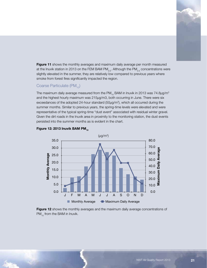

Figure 11 shows the monthly averages and maximum daily average per month measured at the Inuvik station in 2013 on the FEM BAM PM $_{2.5}$ . Although the PM $_{2.5}$  concentrations were slightly elevated in the summer, they are relatively low compared to previous years where smoke from forest fires significantly impacted the region.

#### Coarse Particulate (PM<sub>10</sub>)

The maximum daily average measured from the PM $_{10}$  BAM in Inuvik in 2013 was 74.8 $\mu$ g/m<sup>3</sup> and the highest hourly maximum was 215μg/m3, both occurring in June. There were six exceedances of the adopted 24-hour standard  $(50\mu g/m<sup>3</sup>)$ , which all occurred during the summer months. Similar to previous years, the spring-time levels were elevated and were representative of the typical spring-time "dust event" associated with residual winter gravel. Given the dirt roads in the Inuvik area in proximity to the monitoring station, the dust events persisted into the summer months as is evident in the chart.



#### Figure 12: 2013 Inuvik BAM PM $_{10}$

Figure 12 shows the monthly averages and the maximum daily average concentrations of  $PM_{10}$  from the BAM in Inuvik.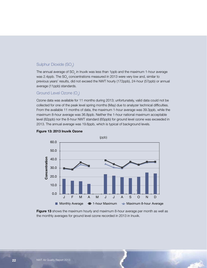#### Sulphur Dioxide (SO $_{\textrm{\tiny{\it 2}}}$ )

The annual average of SO<sub>2</sub> in Inuvik was less than 1ppb and the maximum 1-hour average was 2.4ppb. The SO $_{\tiny 2}$  concentrations measured in 2013 were very low and, similar to previous years' results, did not exceed the NWT hourly (172ppb), 24-hour (57ppb) or annual average (11ppb) standards.

#### Ground Level Ozone (O $_{3}$ )

Ozone data was available for 11 months during 2013; unfortunately, valid data could not be collected for one of the peak level spring months (May) due to analyzer technical difficulties. From the available 11 months of data, the maximum 1-hour average was 39.3ppb, while the maximum 8-hour average was 36.8ppb. Neither the 1-hour national maximum acceptable level (82ppb) nor the 8-hour NWT standard (65ppb) for ground level ozone was exceeded in 2013. The annual average was 19.6ppb, which is typical of background levels.



#### Figure 13: 2013 Inuvik Ozone

Figure 13 shows the maximum hourly and maximum 8-hour average per month as well as the monthly averages for ground level ozone recorded in 2013 in Inuvik.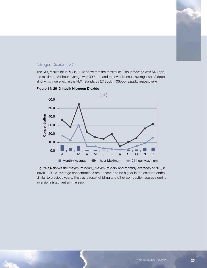

#### Nitrogen Dioxide (NO<sub>2</sub>)

The NO<sub>2</sub> results for Inuvik in 2013 show that the maximum 1-hour average was 54.7ppb, the maximum 24-hour average was 30.5ppb and the overall annual average was 2.6ppb, all of which were within the NWT standards (213ppb, 106ppb, 32ppb, respectively).



#### Figure 14: 2013 Inuvik Nitrogen Dioxide

Figure 14 shows the maximum hourly, maximum daily and monthly averages of NO<sub>2</sub> in Inuvik in 2013. Average concentrations are observed to be higher in the colder months, similar to previous years, likely as a result of idling and other combustion sources during inversions (stagnant air masses).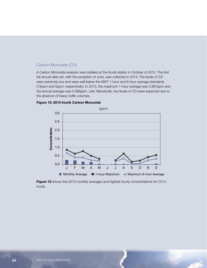#### Carbon Monoxide (CO)

A Carbon Monoxide analyzer was installed at the Inuvik station in October of 2012. The first full annual data set, with the exception of June, was collected in 2013. The levels of CO were extremely low and were well below the NWT 1-hour and 8-hour average standards (13ppm and 5ppm, respectively). In 2013, the maximum 1-hour average was 0.867ppm and the annual average was 0.088ppm. Like Yellowknife, low levels of CO were expected due to the absence of heavy traffic volumes.



#### Figure 15: 2013 Inuvik Carbon Monoxide

Figure 15 shows the 2013 monthly averages and highest hourly concentrations for CO in Inuvik.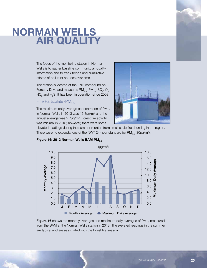# NORMAN WELLS AIR QUALITY

The focus of the monitoring station in Norman Wells is to gather baseline community air quality information and to track trends and cumulative effects of pollutant sources over time.

The station is located at the ENR compound on Forestry Drive and measures  $\textsf{PM}_{2.5}$ ,  $\textsf{PM}_{10}$ , SO<sub>2</sub>, O<sub>3</sub>,  $\mathsf{NO}_2^{}$  and  $\mathsf{H}_2\mathsf{S}.$  It has been in operation since 2003.

#### Fine Particulate  $(PM_{2.5})$

The maximum daily average concentration of  $PM_{2.5}$ in Norman Wells in 2013 was 16.8μg/m<sup>3</sup> and the annual average was  $2.7 \mu g/m<sup>3</sup>$ . Forest fire activity was minimal in 2013; however, there were some



elevated readings during the summer months from small scale fires burning in the region. There were no exceedances of the NWT 24-hour standard for PM $_{\rm 2.5}$  (30 $\mu$ g/m $^{\rm 3)}$ .



#### Figure 16: 2013 Norman Wells BAM PM<sub>2.5</sub>

Figure 16 shows the monthly averages and maximum daily averages of  $PM_{2.5}$  measured from the BAM at the Norman Wells station in 2013. The elevated readings in the summer are typical and are associated with the forest fire season.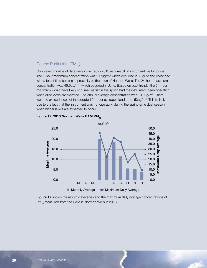#### Coarse Particulate  $(PM_{10})$

Only seven months of data were collected in 2013 as a result of instrument malfunctions. The 1-hour maximum concentration was  $217 \mu g/m<sup>3</sup>$  which occurred in August and coincided with a forest fires burning in proximity to the town of Norman Wells. The 24-hour maximum concentration was 45.9µg/m<sup>3</sup>, which occurred in June. Based on past trends, the 24-hour maximum would have likely occurred earlier in the spring had the instrument been operating when dust levels are elevated. The annual average concentration was  $10.9\mu g/m<sup>3</sup>$ . There were no exceedances of the adopted 24-hour average standard of  $50\mu g/m<sup>3</sup>$ . This is likely due to the fact that the instrument was not operating during the spring-time dust season when higher levels are expected to occur.



#### Figure 17: 2013 Norman Wells BAM PM $_{10}$

Figure 17 shows the monthly averages and the maximum daily average concentrations of  $PM_{10}$  measured from the BAM in Norman Wells in 2013.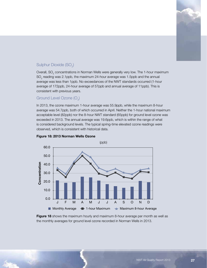

#### Sulphur Dioxide (SO $_{2}$ )

Overall,  $\mathrm{SO}_2$  concentrations in Norman Wells were generally very low. The 1-hour maximum  $\mathrm{SO}_2$  reading was 2.1ppb, the maximum 24-hour average was 1.5ppb and the annual average was less than 1ppb. No exceedances of the NWT standards occurred (1-hour average of 172ppb, 24-hour average of 57ppb and annual average of 11ppb). This is consistent with previous years.

#### Ground Level Ozone (O $_{3}$ )

In 2013, the ozone maximum 1-hour average was 55.9ppb, while the maximum 8-hour average was 54.7ppb, both of which occurred in April. Neither the 1-hour national maximum acceptable level (82ppb) nor the 8-hour NWT standard (65ppb) for ground level ozone was exceeded in 2013. The annual average was 19.6ppb, which is within the range of what is considered background levels. The typical spring-time elevated ozone readings were observed, which is consistent with historical data.



#### Figure 18: 2013 Norman Wells Ozone

**Figure 18** shows the maximum hourly and maximum 8-hour average per month as well as the monthly averages for ground level ozone recorded in Norman Wells in 2013.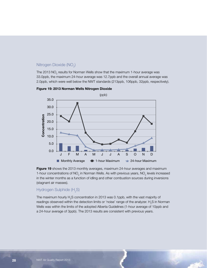#### Nitrogen Dioxide (NO<sub>2</sub>)

The 2013 NO<sub>2</sub> results for Norman Wells show that the maximum 1-hour average was 33.0ppb, the maximum 24-hour average was 12.7ppb and the overall annual average was 2.0ppb, which were well below the NWT standards (213ppb, 106ppb, 32ppb, respectively).





Figure 19 shows the 2013 monthly averages, maximum 24-hour averages and maximum 1-hour concentrations of NO<sub>2</sub> in Norman Wells. As with previous years, NO<sub>2</sub> levels increased in the winter months as a function of idling and other combustion sources during inversions (stagnant air masses).

#### Hydrogen Sulphide (H<sub>2</sub>S)

The maximum hourly  $\mathsf{H}_{\scriptscriptstyle 2} \mathsf{S}$  concentration in 2013 was 0.1ppb, with the vast majority of readings observed within the detection limits or 'noise' range of the analyzer.  ${\sf H}_{\tiny 2} {\sf S}$  in Norman Wells was within the limits of the adopted Alberta Guidelines (1-hour average of 10ppb and a 24-hour average of 3ppb). The 2013 results are consistent with previous years.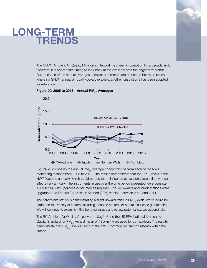## LONG-TERM TRENDS



The GNWT Ambient Air Quality Monitoring Network has been in operation for a decade and, therefore, it is appropriate timing to look back at the available data for longer term trends. Comparisons of the annual averages of select parameters are presented below. In cases where no GNWT annual air quality objective exists, another jurisdiction's has been adopted for reference.



#### Figure 20: 2005 to 2013 – Annual PM $_{\rm 2.5}$  Averages

**Figure 20** compares the annual  $PM_{2.5}$  average concentrations from each of the NWT monitoring stations from 2005 to 2013. The results demonstrate that the PM<sub>25</sub> levels in the NWT fluctuate annually, which could be due to the influence by seasonal forest fires whose effects vary annually. The instruments in use over the time period presented were consistent (BAM1020), with upgrades conducted as required. The Yellowknife and Inuvik stations were upgraded to a Federal Equivalency Method (FEM) version between 2010 and 2011.

The Yellowknife station is demonstrating a slight upward trend in  $PM_{2.5}$  levels, which could be attributed to a variety of factors, including localized sources or natural causes (e.g. forest fire). We will continue to examine if this trend continues and review potential causes accordingly.

The BC Ambient Air Quality Objective of 10ug/m<sup>3</sup> and the US EPA National Ambient Air Quality Standard for PM<sub>2.5</sub> Annual mean of 12ug/m<sup>3</sup> were used for comparison. The results demonstrate that  $PM_{2.5}$  levels at each of the NWT communities are consistently within the criteria.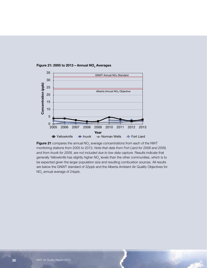

Figure 21: 2005 to 2013 – Annual NO $_2$  Averages  $\,$ 

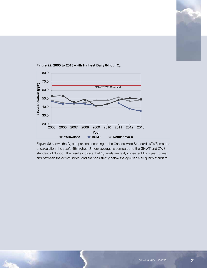



Figure 22: 2005 to 2013 – 4th Highest Daily 8-hour O $_{\tiny 3}$ 

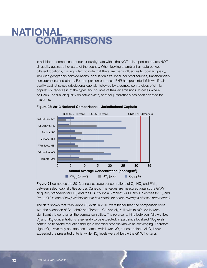# NATIONAL **COMPARISONS**

In addition to comparison of our air quality data within the NWT, this report compares NWT air quality against other parts of the country. When looking at ambient air data between different locations, it is important to note that there are many influences to local air quality, including geographic considerations, population size, local industrial sources, transboundary considerations and others. For comparison purposes, ENR has presented Yellowknife air quality against select jurisdictional capitals, followed by a comparison to cities of similar population, regardless of the types and sources of their air emissions. In cases where no GNWT annual air quality objective exists, another jurisdiction's has been adopted for reference.





**Figure 23** compares the 2013 annual average concentrations of  $\mathrm{O}_{_3}$ , NO<sub>2</sub> and PM<sub>2.5</sub> between select capital cities across Canada. The values are measured against the GNWT air quality standards for NO<sub>2</sub> and the BC Provincial Ambient Air Quality Objectives for O<sub>3</sub> and PM2.5. *(BC is one of few jurisdictions that has criteria for annual averages of these parameters.)*

The data shows that Yellowknife  $\mathsf{O}_{_{\!3}}$  levels in 2013 were higher than the comparison cities, with the exception of St. John's and Toronto. Conversely, Yellowknife NO<sub>2</sub> levels were significantly lower than all the comparison cities. The reverse ranking between Yellowknife's  $\mathsf{O}_{_3}$  and  $\mathsf{NO}_{_2}$  concentrations is generally to be expected, in part since localized  $\mathsf{NO}_{_2}$  levels contribute to ozone reduction through a chemical process known as scavenging. Therefore, higher  ${\mathsf O}_{_{\!3}}$  levels may be expected in areas with lower  ${\mathsf{NO}}_{_{\!2}}$  concentrations. All  ${\mathsf O}_{_{\!3}}$  levels exceeded the presented criteria, while  $\mathsf{NO}_2$  levels were all below the GNWT criteria.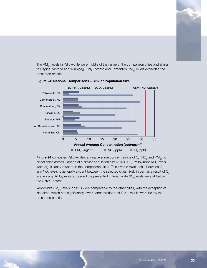

The PM<sub>2.5</sub> levels in Yellowknife were middle of the range of the comparison cities and similar to Regina, Victoria and Winnipeg. Only Toronto and Edmonton  $PM_{2.5}$  levels exceeded the presented criteria.



#### Figure 24: National Comparisons – Similar Population Size National Comparisons - Similar Population

**Figure 24** compares Yellowknife's annual average concentrations of  $\mathrm{O}_{_{3}}$ , NO<sub>2</sub> and PM<sub>2.5</sub> to select cities across Canada of a similar population size (<100,000). Yellowknife NO<sub>2</sub> levels were significantly lower than the comparison cities. This inverse relationship between  $O<sub>3</sub>$ and NO<sub>2</sub> levels is generally evident between the selected cities, likely in part as a result of O<sub>3</sub> scavenging. All  $\text{O}_3$  levels exceeded the presented criteria, while NO<sub>2</sub> levels were all below the GNWT criteria.

Yellowknife PM<sub>2.5</sub> levels in 2013 were comparable to the other cities, with the exception of Nanaimo, which had significantly lower concentrations. All  $PM_{2.5}$  results were below the presented criteria.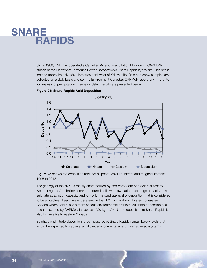### SNARE **RAPIDS**

Since 1989, ENR has operated a Canadian Air and Precipitation Monitoring (CAPMoN) station at the Northwest Territories Power Corporation's Snare Rapids hydro site. This site is located approximately 150 kilometres northwest of Yellowknife. Rain and snow samples are collected on a daily basis and sent to Environment Canada's CAPMoN laboratory in Toronto for analysis of precipitation chemistry. Select results are presented below.



Figure 25: Snare Rapids Acid Deposition

**Figure 25** shows the deposition rates for sulphate, calcium, nitrate and magnesium from 1995 to 2013.

The geology of the NWT is mostly characterized by non-carbonate bedrock resistant to weathering and/or shallow, coarse-textured soils with low cation exchange capacity, low sulphate adsorption capacity and low pH. The sulphate level of deposition that is considered to be protective of sensitive ecosystems in the NWT is 7 kg/ha/yr. In areas of eastern Canada where acid rain is a more serious environmental problem, sulphate deposition has been measured by CAPMoN in excess of 20 kg/ha/yr. Nitrate deposition at Snare Rapids is also low relative to eastern Canada.

Sulphate and nitrate deposition rates measured at Snare Rapids remain below levels that would be expected to cause a significant environmental effect in sensitive ecosystems.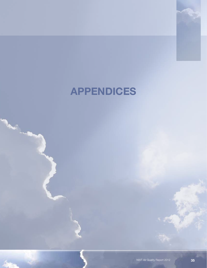# APPENDICES

**Carlos Carlos**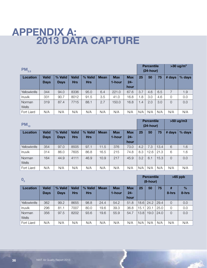## APPENDIX A: 2013 DATA CAPTURE

| $PM_{2.5}$      |              |             |              |            |             |            |                |     |     | <b>Percentile</b><br>$(24$ -hour) | $>30$ ug/m <sup>3</sup> |        |
|-----------------|--------------|-------------|--------------|------------|-------------|------------|----------------|-----|-----|-----------------------------------|-------------------------|--------|
| <b>Location</b> | <b>Valid</b> | % Valid     | <b>Valid</b> | % Valid    | <b>Mean</b> | <b>Max</b> | <b>Max</b>     | 25  | 50  | 75                                | # days                  | % days |
|                 | <b>Days</b>  | <b>Days</b> | <b>Hrs</b>   | <b>Hrs</b> |             | 1-hour     | $24 -$<br>hour |     |     |                                   |                         |        |
| Yellowknife     | 344          | 94.0        | 8336         | 95.0       | 6.4         | 221.0      | 67.6           | 3.7 | 4.6 | 6.5                               | 7                       | 1.9    |
| <b>Inuvik</b>   | 331          | 90.7        | 8012         | 91.5       | 3.5         | 41.0       | 16.8           | 1.8 | 3.0 | 4.6                               | 0                       | 0.0    |
| Norman<br>Wells | 319          | 87.4        | 7715         | 88.1       | 2.7         | 150.0      | 16.8           | 1.4 | 2.0 | 3.0                               | $\overline{0}$          | 0.0    |
| Fort Liard      | N/A          | N/A         | N/A          | N/A        | N/A         | N/A        | N/A            | N/A | N/A | N/A                               | N/A                     | N/A    |

| $PM_{10}$              |              |             |              |            |             |            |                |     |      | <b>Percentile</b><br>$(24$ -hour) | >50 ug/m3      |        |
|------------------------|--------------|-------------|--------------|------------|-------------|------------|----------------|-----|------|-----------------------------------|----------------|--------|
| <b>Location</b>        | <b>Valid</b> | % Valid     | <b>Valid</b> | % Valid    | <b>Mean</b> | <b>Max</b> | <b>Max</b>     | 25  | 50   | 75                                | # days         | % days |
|                        | <b>Days</b>  | <b>Days</b> | <b>Hrs</b>   | <b>Hrs</b> |             | 1-hour     | $24 -$<br>hour |     |      |                                   |                |        |
| Yellowknife            | 354          | 97.0        | 8505         | 97.1       | 11.5        | 376        | 73.0           | 4.2 | 7.3  | 13.4                              | 6              | 1.6    |
| Inuvik                 | 314          | 86.0        | 7605         | 86.8       | 16.5        | 215        | 74.8           | 8.3 | 12.6 | 21.3                              | 6              | 1.6    |
| Norman<br><b>Wells</b> | 164          | 44.9        | 4111         | 46.9       | 10.9        | 217        | 45.9           | 3.2 | 6.1  | 15.3                              | $\overline{0}$ | 0.0    |
| Fort Liard             | N/A          | N/A         | N/A          | N/A        | N/A         | N/A        | N/A            | N/A | N/A  | N/A                               | N/A            | N/A    |

| $\mathbf{0}_3$ |              |             |              |            |             |            |            |      |      | <b>Percentile</b><br>$(8-hour)$ | $>65$ ppb      |       |
|----------------|--------------|-------------|--------------|------------|-------------|------------|------------|------|------|---------------------------------|----------------|-------|
| Location       | <b>Valid</b> | % Valid     | <b>Valid</b> | % Valid    | <b>Mean</b> | <b>Max</b> | <b>Max</b> | 25   | 50   | 75                              | #              | $\%$  |
|                | <b>Days</b>  | <b>Days</b> | <b>Hrs</b>   | <b>Hrs</b> |             | 1-hour     | $24 -$     |      |      |                                 | 8-hrs          | 8-hrs |
|                |              |             |              |            |             |            | hour       |      |      |                                 |                |       |
| Yellowknife    | 362          | 99.2        | 8655         | 98.8       | 24.4        | 54.2       | 51.8       | 18.6 | 24.2 | 29.4                            | $\overline{O}$ | 0.0   |
| Inuvik         | 296          | 81.1        | 7007         | 80.0       | 19.6        | 39.3       | 36.8       | 15.1 | 20.1 | 25.0                            | 0              | 0.0   |
| Norman         | 356          | 97.5        | 8202         | 93.6       | 19.6        | 55.9       | 54.7       | 13.8 | 19.0 | 24.0                            | $\Omega$       | 0.0   |
| Wells          |              |             |              |            |             |            |            |      |      |                                 |                |       |
| Fort Liard     | N/A          | N/A         | N/A          | N/A        | N/A         | N/A        | N/A        | N/A  | N/A  | N/A                             | N/A            | N/A   |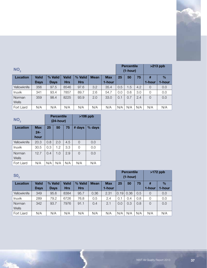| NO <sub>2</sub> |              |             |            |            |             |            |     |     | <b>Percentile</b><br>$(1-hour)$ | $>213$ ppb     |        |
|-----------------|--------------|-------------|------------|------------|-------------|------------|-----|-----|---------------------------------|----------------|--------|
| <b>Location</b> | <b>Valid</b> | % Valid     | Valid      | % Valid    | <b>Mean</b> | <b>Max</b> | 25  | 50  | 75                              | #              | $\%$   |
|                 | <b>Days</b>  | <b>Days</b> | <b>Hrs</b> | <b>Hrs</b> |             | 1-hour     |     |     |                                 | 1-hour         | 1-hour |
| Yellowknife     | 356          | 97.5        | 8546       | 97.6       | 3.2         | 35.4       | 0.5 | 1.5 | 4.2                             | 0              | 0.0    |
| Inuvik          | 341          | 93.4        | 7857       | 89.7       | 2.6         | 54.7       | 0.0 | 0.6 | 3.0                             | 0              | 0.0    |
| Norman          | 359          | 98.4        | 8225       | 93.9       | 2.0         | 33.0       | 0.1 | 0.7 | 2.4                             | $\overline{0}$ | 0.0    |
| Wells           |              |             |            |            |             |            |     |     |                                 |                |        |
| Fort Liard      | N/A          | N/A         | N/A        | N/A        | N/A         | N/A        | N/A | N/A | N/A                             | N/A            | N/A    |

| NO <sub>2</sub> |                             |     | <b>Percentile</b><br>$(24$ -hour) |     | $>106$ ppb |        |  |  |
|-----------------|-----------------------------|-----|-----------------------------------|-----|------------|--------|--|--|
| Location        | <b>Max</b><br>$24-$<br>hour | 25  | 50                                | 75  | # days     | % days |  |  |
| Yellowknife     | 20.3                        | 0.8 | 2.0                               | 4.5 | $\Omega$   | 0.0    |  |  |
| <b>Inuvik</b>   | 30.5                        | 0.3 | 1.2                               | 3.3 | 0          | 0.0    |  |  |
| Norman<br>Wells | 12.7                        | 0.4 | 1.0                               | 2.9 | $\Omega$   | 0.0    |  |  |
| Fort Liard      | N/A                         | N/A | N/A                               | N/A | N/A        | N/A    |  |  |

| SO <sub>2</sub> |              |             |            |            |             |            |      |      | <b>Percentile</b><br>$(1-hour)$ | $>172$ ppb |               |  |
|-----------------|--------------|-------------|------------|------------|-------------|------------|------|------|---------------------------------|------------|---------------|--|
| Location        | <b>Valid</b> | % Valid     | Valid      | % Valid    | <b>Mean</b> | <b>Max</b> | 25   | 50   | 75                              | #          | $\frac{0}{0}$ |  |
|                 | <b>Days</b>  | <b>Days</b> | <b>Hrs</b> | <b>Hrs</b> |             | 1-hour     |      |      |                                 | 1-hour     | 1-hour        |  |
| Yellowknife     | 349          | 95.6        | 8384       | 95.7       | 0.36        | 2.31       | 0.19 | 0.36 | 0.5                             | $\Omega$   | 0.0           |  |
| <b>Inuvik</b>   | 289          | 79.2        | 6726       | 76.8       | 0.5         | 2.4        | 0.1  | 0.4  | 0.8                             | 0          | 0.0           |  |
| Norman          | 342          | 93.7        | 7976       | 91.1       | 0.4         | 2.1        | 0.0  | 0.3  | 0.8                             | $\Omega$   | 0.0           |  |
| Wells           |              |             |            |            |             |            |      |      |                                 |            |               |  |
| Fort Liard      | N/A          | N/A         | N/A        | N/A        | N/A         | N/A        | N/A  | N/A  | N/A                             | N/A        | N/A           |  |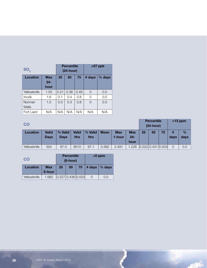| SO <sub>2</sub> |              | <b>Percentile</b><br>$(24$ -hour) |      | $>57$ ppb |          |     |
|-----------------|--------------|-----------------------------------|------|-----------|----------|-----|
| Location        | Max<br>$24-$ | 25<br>50<br>75                    |      | # days    | $%$ days |     |
|                 | hour         |                                   |      |           |          |     |
| Yellowknife     | 1.05         | 0.21                              | 0.36 | 0.49      | 0        | 0.0 |
| Inuvik          | 1.6          | 0.1                               | 0.4  | 0.8       | 0        | 0.0 |
| Norman<br>Wells | 1.5          | 0.0                               | 0.3  | 0.8       | $\Omega$ | 0.0 |
| Fort Liard      | N/A          | N/A                               | N/A  | N/A       | N/A      | N/A |

#### **CO**

| <b>CO</b>   |                             |                        |                     |                       |             |                      | $(24-hour)$                 |    |                                             |    |      |                       |
|-------------|-----------------------------|------------------------|---------------------|-----------------------|-------------|----------------------|-----------------------------|----|---------------------------------------------|----|------|-----------------------|
| Location    | <b>Valid</b><br><b>Days</b> | % Valid<br><b>Days</b> | <b>Valid</b><br>Hrs | % Valid<br><b>Hrs</b> | <b>Mean</b> | <b>Max</b><br>1-hour | <b>Max</b><br>$24-$<br>hour | 25 | 50                                          | 75 | days | $\frac{9}{6}$<br>days |
| Yellowknife | 354                         | 97.0                   | 8510                | 97.1                  | 0.392       | 2.491                | .228                        |    | $\vert 0.222 \vert 0.431 \vert 0.503 \vert$ |    |      | 0.0                   |

Percentile >13 ppm

فالمناز

| CO          |                      | <b>Percentile</b><br>$(8-hour)$ |                                    |    | $>5$ ppm |         |  |
|-------------|----------------------|---------------------------------|------------------------------------|----|----------|---------|--|
| Location    | <b>Max</b><br>8-hour | 25                              | 50                                 | 75 | # days   | ∣% days |  |
| Yellowknife | 1.682                |                                 | $0.227 \mid 0.436 \mid 0.503 \mid$ |    |          | 0.0     |  |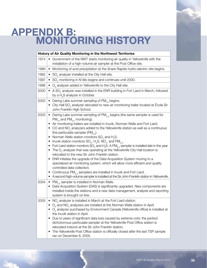# APPENDIX B: MONITORING HISTORY

|      | <b>History of Air Quality Monitoring in the Northwest Territories</b>                                                                                                                                                                                                                                                                                                                                                                                                                                                                                                                                                                                                                                                                                                                                                                                                                                                                                                                                                                                                                                                                                                                                                |
|------|----------------------------------------------------------------------------------------------------------------------------------------------------------------------------------------------------------------------------------------------------------------------------------------------------------------------------------------------------------------------------------------------------------------------------------------------------------------------------------------------------------------------------------------------------------------------------------------------------------------------------------------------------------------------------------------------------------------------------------------------------------------------------------------------------------------------------------------------------------------------------------------------------------------------------------------------------------------------------------------------------------------------------------------------------------------------------------------------------------------------------------------------------------------------------------------------------------------------|
| 1974 | Government of the NWT starts monitoring air quality in Yellowknife with the<br>$\bullet$<br>installation of a high-volume air sampler at the Post Office site.                                                                                                                                                                                                                                                                                                                                                                                                                                                                                                                                                                                                                                                                                                                                                                                                                                                                                                                                                                                                                                                       |
| 1989 | Monitoring of acid precipitation at the Snare Rapids hydro-electric site begins.<br>$\bullet$                                                                                                                                                                                                                                                                                                                                                                                                                                                                                                                                                                                                                                                                                                                                                                                                                                                                                                                                                                                                                                                                                                                        |
| 1992 | • $SO2$ analyzer installed at the City Hall site.                                                                                                                                                                                                                                                                                                                                                                                                                                                                                                                                                                                                                                                                                                                                                                                                                                                                                                                                                                                                                                                                                                                                                                    |
| 1997 | SO <sub>2</sub> monitoring in N'dilo begins and continues until 2000.<br>٠                                                                                                                                                                                                                                                                                                                                                                                                                                                                                                                                                                                                                                                                                                                                                                                                                                                                                                                                                                                                                                                                                                                                           |
| 1998 | $Oa$ analyzer added in Yellowknife to the City Hall site.<br>٠                                                                                                                                                                                                                                                                                                                                                                                                                                                                                                                                                                                                                                                                                                                                                                                                                                                                                                                                                                                                                                                                                                                                                       |
| 2000 | • A SO <sub>2</sub> analyzer was installed in the ENR building in Fort Liard in March, followed<br>by a H <sub>2</sub> S analyzer in October.                                                                                                                                                                                                                                                                                                                                                                                                                                                                                                                                                                                                                                                                                                                                                                                                                                                                                                                                                                                                                                                                        |
| 2002 | • Daring Lake summer sampling of $PM_{10}$ begins.<br>• City Hall SO <sub>2</sub> analyzer relocated to new air monitoring trailer located at École Sir<br>John Franklin High School.                                                                                                                                                                                                                                                                                                                                                                                                                                                                                                                                                                                                                                                                                                                                                                                                                                                                                                                                                                                                                                |
| 2003 | • Daring Lake summer sampling of PM <sub>25</sub> begins (the same sampler is used for<br>$PM_{10}$ and $PM_{2.5}$ monitoring).<br>Air monitoring trailers are installed in Inuvik, Norman Wells and Fort Liard.<br>CO and $NOx$ analyzers added to the Yellowknife station as well as a continuous<br>$\bullet$<br>fine particulate sampler (PM <sub>25</sub> ).<br>Norman Wells station monitors $SO_2$ and $H_2S$ .<br>$\bullet$<br>Inuvik station monitors $SO_2$ , H <sub>2</sub> S, NO <sub>x</sub> , and PM <sub>2.5</sub> .<br>$\bullet$<br>Fort Liard station monitors $SO_2$ and H <sub>2</sub> S. A PM <sub>2.5</sub> sampler is installed late in the year.<br>$\bullet$<br>The $O_3$ analyzer that was operating at the Yellowknife City Hall location is<br>$\bullet$<br>relocated to the new Sir John Franklin station.<br>ENR initiates the upgrade of the Data Acquisition System moving to a<br>specialized air monitoring system, which will allow more efficient and quality<br>controlled data collection.<br>Continuous $PM_{2.5}$ samplers are installed in Inuvik and Fort Liard.<br>$\bullet$<br>A second high-volume sampler is installed at the Sir John Franklin station in Yellowknife. |
| 2004 | • $PM_{2.5}$ sampler is installed in Norman Wells.<br>Data Acquisition System (DAS) is significantly upgraded. New components are<br>installed inside the stations and a new data management, analysis and reporting<br>system is brought on-line.                                                                                                                                                                                                                                                                                                                                                                                                                                                                                                                                                                                                                                                                                                                                                                                                                                                                                                                                                                   |
| 2005 | $NOx$ analyzer is installed in March at the Fort Liard station.<br>$\bullet$<br>$O3$ and NO <sub>x</sub> analyzers are installed at the Norman Wells station in April.<br>$O3$ analyzer purchased by Environment Canada (Yellowknife office) is installed at<br>the Inuvik station in April.<br>Due to years of significant data loss caused by extreme cold, the partisol<br>$\bullet$<br>dichotomous particulate sampler at the Yellowknife Post Office station is<br>relocated indoors at the Sir John Franklin station.<br>The Yellowknife Post Office station is officially closed after the last TSP sample<br>$\bullet$<br>ran on December 6, 2005.                                                                                                                                                                                                                                                                                                                                                                                                                                                                                                                                                           |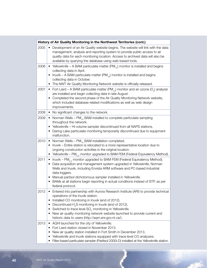|      | History of Air Quality Monitoring in the Northwest Territories (cont.)                                                                                                                                                                                                                                                                                                                                                                                                                          |
|------|-------------------------------------------------------------------------------------------------------------------------------------------------------------------------------------------------------------------------------------------------------------------------------------------------------------------------------------------------------------------------------------------------------------------------------------------------------------------------------------------------|
| 2005 | Development of an Air Quality website begins. The website will link with the data<br>management, analysis and reporting system to provide public access to air<br>quality data for each monitoring location. Access to archived data will also be<br>available by querying the database using web-based tools.                                                                                                                                                                                  |
| 2006 | Yellowknife – A BAM particulate matter $(PM_{10})$ monitor is installed and begins<br>$\bullet$<br>collecting data in April.<br>• Inuvik – A BAM particulate matter $(PM_{10})$ monitor is installed and begins<br>collecting data in October.<br>The NWT Air Quality Monitoring Network website is officially released.                                                                                                                                                                        |
| 2007 | • Fort Liard – A BAM particulate matter (PM <sub>10</sub> ) monitor and an ozone (O <sub>3</sub> ) analyzer<br>are installed and begin collecting data in late August.<br>Completed the second phase of the Air Quality Monitoring Network website,<br>which included database related modifications as well as web design<br>improvements.                                                                                                                                                     |
| 2008 | No significant changes to the network.<br>$\bullet$                                                                                                                                                                                                                                                                                                                                                                                                                                             |
| 2009 | • Norman Wells – PM <sub>10</sub> BAM installed to complete particulate sampling<br>throughout the network.<br>Yellowknife - Hi-volume sampler discontinued from all NAPS stations.<br>Daring Lake particulate monitoring temporarily discontinued due to equipment<br>malfunction.                                                                                                                                                                                                             |
| 2010 | • Norman Wells – $PM_{10}$ BAM installation completed.<br>Inuvik – Entire station is relocated to a more representative location due to<br>٠<br>ongoing construction activities in the original location.<br>• Yellowknife – PM <sub>2.5</sub> monitor upgraded to BAM FEM (Federal Equivalency Method).                                                                                                                                                                                        |
| 2011 | Inuvik – PM <sub>2.5</sub> monitor upgraded to BAM FEM (Federal Equivalency Method).<br>$\bullet$<br>Data acquisition and management system upgraded in Yellowknife, Norman<br>Wells and Inuvik, including Envista ARM software and PC-based industrial<br>data-loggers.<br>Manual partisol dichotomous sampler installed in Yellowknife.<br>$\bullet$<br>BAMs at all stations begin reporting in actual conditions instead of STP, as per<br>٠<br>federal protocol.                            |
| 2012 | Entered into partnership with Aurora Research Institute (ARI) to provide technical<br>operations of the Inuvik station.<br>Installed CO monitoring in Inuvik (end of 2012).<br>$\bullet$<br>Discontinued H <sub>2</sub> S monitoring in Inuvik (end of 2012).<br>٠<br>Switched to trace level SO <sub>2</sub> monitoring in Yellowknife.<br>٠<br>New air quality monitoring network website launched to provide current and<br>$\bullet$<br>historic data to users (http://aqm.enr.gov.nt.ca/). |
| 2013 | AQHI launched for the city of Yellowknife.<br>$\bullet$<br>Fort Liard station closed in November 2013.<br>٠<br>New air quality station installed in Fort Smith in December 2013.<br>$\bullet$<br>Yellowknife and Inuvik stations equipped with trace level CO analyzers.<br>Filter-based particulate sampler (Paritisol 2000i-D) installed at the Yellowknife station.<br>٠                                                                                                                     |

у. F.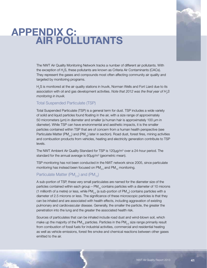# APPENDIX C: AIR POLLUTANTS

The NWT Air Quality Monitoring Network tracks a number of different air pollutants. With the exception of  $\mathsf{H}_{\scriptscriptstyle 2} \mathsf{S},$  these pollutants are known as Criteria Air Contaminants (CACs). They represent the gases and compounds most often affecting community air quality and targeted by monitoring programs.

 $\rm H_2\rm S$  is monitored at the air quality stations in Inuvik, Norman Wells and Fort Liard due to its association with oil and gas development activities. *Note that 2012 was the final year of H<sub>2</sub>S monitoring in Inuvik.*

#### Total Suspended Particulate (TSP)

Total Suspended Particulate (TSP) is a general term for dust. TSP includes a wide variety of solid and liquid particles found floating in the air, with a size range of approximately 50 micrometers (µm) in diameter and smaller (a human hair is approximately 100 µm in diameter). While TSP can have environmental and aesthetic impacts, it is the smaller particles contained within TSP that are of concern from a human health perspective (see Particulate Matter (PM<sub>25</sub>) and (PM<sub>10</sub>) later in section). Road dust, forest fires, mining activities and combustion products from vehicles, heating and electricity generation contribute to TSP levels.

The NWT Ambient Air Quality Standard for TSP is 120μg/m<sup>3</sup> over a 24-hour period. The standard for the annual average is 60µg/m<sup>3</sup> (geometric mean).

TSP monitoring has not been conducted in the NWT network since 2005, since particulate monitoring has instead been focused on  $PM_{2.5}$  and  $PM_{10}$  monitoring.

#### Particulate Matter (PM<sub>25</sub>) and (PM<sub>10</sub>)

A sub-portion of TSP, these very small particulates are named for the diameter size of the particles contained within each group –  $PM_{10}$  contains particles with a diameter of 10 microns (1 millionth of a metre) or less, while PM<sub>2.5</sub> (a sub-portion of PM<sub>10</sub>) contains particles with a diameter of 2.5 microns or less. The significance of these microscopic particles is that they can be inhaled and are associated with health effects, including aggravation of existing pulmonary and cardiovascular disease. Generally, the smaller the particle, the greater the penetration into the lung and the greater the associated health risk.

Sources of particulates that can be inhaled include road dust and wind-blown soil, which make up the majority of the PM<sub>10</sub> particles. Particles in the PM<sub>25</sub> size range primarily result from combustion of fossil fuels for industrial activities, commercial and residential heating as well as vehicle emissions, forest fire smoke and chemical reactions between other gases emitted to the air.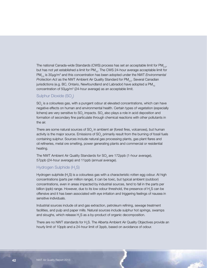The national Canada-wide Standards (CWS) process has set an acceptable limit for  $PM_{25}$ but has not yet established a limit for  $PM_{10}$ . The CWS 24-hour average acceptable limit for PM<sub>2.5</sub> is 30µg/m<sup>3</sup> and this concentration has been adopted under the NWT *Environmental Protection Act* as the NWT Ambient Air Quality Standard for PM<sub>2.5</sub>. Several Canadian jurisdictions (e.g. BC, Ontario, Newfoundland and Labrador) have adopted a  $PM_{10}$ concentration of 50µg/m<sup>3</sup> (24-hour average) as an acceptable limit.

#### Sulphur Dioxide (SO $_{2}$ )

 $\mathrm{SO}_2$  is a colourless gas, with a pungent odour at elevated concentrations, which can have negative effects on human and environmental health. Certain types of vegetation (especially lichens) are very sensitive to SO<sub>2</sub> impacts. SO<sub>2</sub> also plays a role in acid deposition and formation of secondary fine particulate through chemical reactions with other pollutants in the air.

There are some natural sources of  $\mathrm{SO}_2$  in ambient air (forest fires, volcanoes), but human activity is the major source. Emissions of SO<sub>2</sub> primarily result from the burning of fossil fuels containing sulphur. Sources include natural gas processing plants, gas plant flares and oil refineries, metal ore smelting, power generating plants and commercial or residential heating.

The NWT Ambient Air Quality Standards for SO<sub>2</sub> are 172ppb (1-hour average), 57ppb (24-hour average) and 11ppb (annual average).

#### Hydrogen Sulphide (H<sub>2</sub>S)

Hydrogen sulphide (H<sub>2</sub>S) is a colourless gas with a characteristic rotten egg odour. At high concentrations (parts per million range), it can be toxic, but typical ambient (outdoor) concentrations, even in areas impacted by industrial sources, tend to fall in the parts per billion (ppb) range. However, due to its low odour threshold, the presence of  ${\sf H}_{\tiny 2} {\sf S}$  can be offensive and it has been associated with eye irritation and triggering feelings of nausea in sensitive individuals.

Industrial sources include oil and gas extraction, petroleum refining, sewage treatment facilities, and pulp and paper mills. Natural sources include sulphur hot springs, swamps and sloughs, which release  $\mathsf{H}_{\scriptscriptstyle{2}}\mathsf{S}$  as a by-product of organic decomposition.

There are no NWT standards for  $\mathsf{H}_2\mathsf{S}.$  The Alberta Ambient Air Quality Objectives provide an hourly limit of 10ppb and a 24-hour limit of 3ppb, based on avoidance of odour.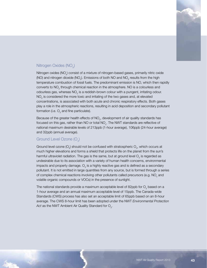

#### Nitrogen Oxides (NO<sub>v</sub>)

Nitrogen oxides (NO<sub>x</sub>) consist of a mixture of nitrogen-based gases, primarily nitric oxide (NO) and nitrogen dioxide (NO<sub>2</sub>). Emissions of both NO and NO<sub>2</sub> results from the high temperature combustion of fossil fuels. The predominant emission is NO, which then rapidly converts to NO<sub>2</sub> through chemical reaction in the atmosphere. NO is a colourless and odourless gas, whereas  $\mathsf{NO}_2$  is a reddish-brown colour with a pungent, irritating odour.  $\mathsf{NO}_2$  is considered the more toxic and irritating of the two gases and, at elevated concentrations, is associated with both acute and chronic respiratory effects. Both gases play a role in the atmospheric reactions, resulting in acid deposition and secondary pollutant formation (i.e.  $\mathrm{O}_{_{\mathrm{3}}}$  and fine particulate).

Because of the greater health effects of  $\mathsf{NO}_2^{},$  development of air quality standards has focused on this gas, rather than NO or total NO<sub>x</sub>. The NWT standards are reflective of national maximum desirable levels of 213ppb (1-hour average), 106ppb (24-hour average) and 32ppb (annual average).

#### Ground Level Ozone  $(\bigcirc_{\scriptscriptstyle 3}\!)$

Ground level ozone (O<sub>3</sub>) should not be confused with stratospheric O<sub>3</sub>, which occurs at much higher elevations and forms a shield that protects life on the planet from the sun's harmful ultraviolet radiation. The gas is the same, but at ground level  $\mathrm{O}_{_{3}}$  is regarded as undesirable due to its association with a variety of human health concerns, environmental impacts and property damage.  $\mathrm{O}_{_3}$  is a highly reactive gas and is defined as a secondary pollutant. It is not emitted in large quantities from any source, but is formed through a series of complex chemical reactions involving other pollutants called precursors (e.g.  $NO_{x}$  and volatile organic compounds or VOCs) in the presence of sunlight.

The national standards provide a maximum acceptable level of 82ppb for  $\mathrm{O}_3$  based on a 1-hour average and an annual maximum acceptable level of 15ppb. The Canada-wide Standards (CWS) process has also set an acceptable limit of 65ppb based on an 8-hour average. The CWS 8-hour limit has been adopted under the NWT *Environmental Protection*  Act as the NWT Ambient Air Quality Standard for  $\mathrm{O}_{3}$ .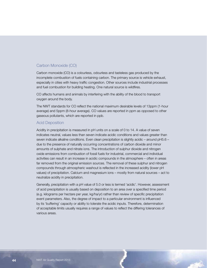#### Carbon Monoxide (CO)

Carbon monoxide (CO) is a colourless, odourless and tasteless gas produced by the incomplete combustion of fuels containing carbon. The primary source is vehicle exhaust, especially in cities with heavy traffic congestion. Other sources include industrial processes and fuel combustion for building heating. One natural source is wildfires.

CO affects humans and animals by interfering with the ability of the blood to transport oxygen around the body.

The NWT standards for CO reflect the national maximum desirable levels of 13ppm (1-hour average) and 5ppm (8-hour average). CO values are reported in ppm as opposed to other gaseous pollutants, which are reported in ppb.

#### Acid Deposition

Acidity in precipitation is measured in pH units on a scale of 0 to 14. A value of seven indicates neutral, values less than seven indicate acidic conditions and values greater than seven indicate alkaline conditions. Even clean precipitation is slightly acidic – around pH5.6 – due to the presence of naturally occurring concentrations of carbon dioxide and minor amounts of sulphate and nitrate ions. The introduction of sulphur dioxide and nitrogen oxide emissions from combustion of fossil fuels for industrial, commercial and individual activities can result in an increase in acidic compounds in the atmosphere – often in areas far removed from the original emission sources. The removal of these sulphur and nitrogen compounds through atmospheric washout is reflected in the increased acidity (lower pH values) of precipitation. Calcium and magnesium ions – mostly from natural sources – act to neutralize acidity in precipitation.

Generally, precipitation with a pH value of 5.0 or less is termed 'acidic'. However, assessment of acid precipitation is usually based on deposition to an area over a specified time period (e.g. kilograms per hectare per year, kg/ha/yr) rather than review of specific precipitation event parameters. Also, the degree of impact to a particular environment is influenced by its 'buffering' capacity or ability to tolerate the acidic inputs. Therefore, determination of acceptable limits usually requires a range of values to reflect the differing tolerances of various areas.